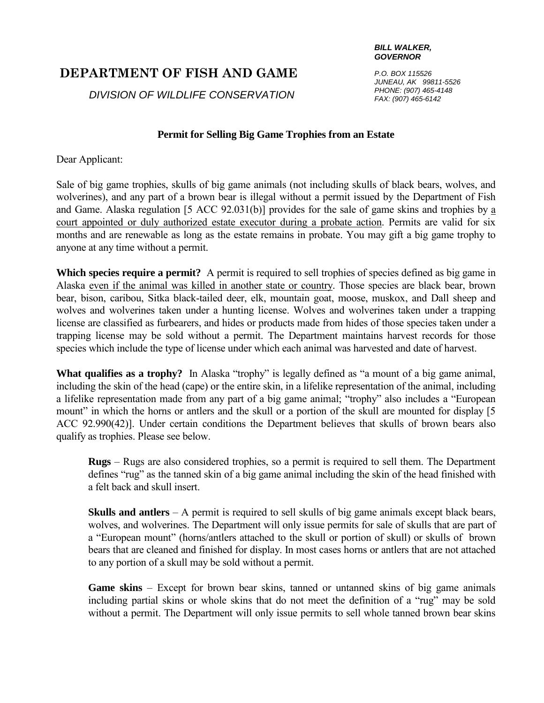## **DEPARTMENT OF FISH AND GAME**

*DIVISION OF WILDLIFE CONSERVATION*

## *BILL WALKER, GOVERNOR*

*P.O. BOX 115526 JUNEAU, AK 99811-5526 PHONE: (907) 465-4148 FAX: (907) 465-6142*

## **Permit for Selling Big Game Trophies from an Estate**

Dear Applicant:

Sale of big game trophies, skulls of big game animals (not including skulls of black bears, wolves, and wolverines), and any part of a brown bear is illegal without a permit issued by the Department of Fish and Game. Alaska regulation [5 ACC 92.031(b)] provides for the sale of game skins and trophies by a court appointed or duly authorized estate executor during a probate action. Permits are valid for six months and are renewable as long as the estate remains in probate. You may gift a big game trophy to anyone at any time without a permit.

**Which species require a permit?** A permit is required to sell trophies of species defined as big game in Alaska even if the animal was killed in another state or country. Those species are black bear, brown bear, bison, caribou, Sitka black-tailed deer, elk, mountain goat, moose, muskox, and Dall sheep and wolves and wolverines taken under a hunting license. Wolves and wolverines taken under a trapping license are classified as furbearers, and hides or products made from hides of those species taken under a trapping license may be sold without a permit. The Department maintains harvest records for those species which include the type of license under which each animal was harvested and date of harvest.

**What qualifies as a trophy?** In Alaska "trophy" is legally defined as "a mount of a big game animal, including the skin of the head (cape) or the entire skin, in a lifelike representation of the animal, including a lifelike representation made from any part of a big game animal; "trophy" also includes a "European mount" in which the horns or antlers and the skull or a portion of the skull are mounted for display [5] ACC 92.990(42)]. Under certain conditions the Department believes that skulls of brown bears also qualify as trophies. Please see below.

**Rugs** – Rugs are also considered trophies, so a permit is required to sell them. The Department defines "rug" as the tanned skin of a big game animal including the skin of the head finished with a felt back and skull insert.

**Skulls and antlers** – A permit is required to sell skulls of big game animals except black bears, wolves, and wolverines. The Department will only issue permits for sale of skulls that are part of a "European mount" (horns/antlers attached to the skull or portion of skull) or skulls of brown bears that are cleaned and finished for display. In most cases horns or antlers that are not attached to any portion of a skull may be sold without a permit.

**Game skins** – Except for brown bear skins, tanned or untanned skins of big game animals including partial skins or whole skins that do not meet the definition of a "rug" may be sold without a permit. The Department will only issue permits to sell whole tanned brown bear skins